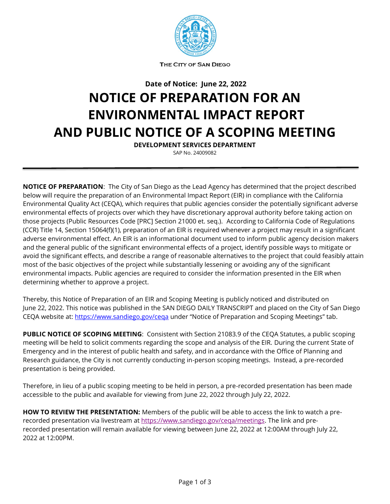

**THE** CITY OF SAN DIEGO

**Date of Notice: June 22, 2022**

### **NOTICE OF PREPARATION FOR AN ENVIRONMENTAL IMPACT REPORT AND PUBLIC NOTICE OF A SCOPING MEETING**

**DEVELOPMENT SERVICES DEPARTMENT** SAP No. 24009082

**NOTICE OF PREPARATION**: The City of San Diego as the Lead Agency has determined that the project described below will require the preparation of an Environmental Impact Report (EIR) in compliance with the California Environmental Quality Act (CEQA), which requires that public agencies consider the potentially significant adverse environmental effects of projects over which they have discretionary approval authority before taking action on those projects (Public Resources Code [PRC] Section 21000 et. seq.). According to California Code of Regulations (CCR) Title 14, Section 15064(f)(1), preparation of an EIR is required whenever a project may result in a significant adverse environmental effect. An EIR is an informational document used to inform public agency decision makers and the general public of the significant environmental effects of a project, identify possible ways to mitigate or avoid the significant effects, and describe a range of reasonable alternatives to the project that could feasibly attain most of the basic objectives of the project while substantially lessening or avoiding any of the significant environmental impacts. Public agencies are required to consider the information presented in the EIR when determining whether to approve a project.

Thereby, this Notice of Preparation of an EIR and Scoping Meeting is publicly noticed and distributed on June 22, 2022. This notice was published in the SAN DIEGO DAILY TRANSCRIPT and placed on the City of San Diego CEQA website at:<https://www.sandiego.gov/ceqa> under "Notice of Preparation and Scoping Meetings" tab.

**PUBLIC NOTICE OF SCOPING MEETING**: Consistent with Section 21083.9 of the CEQA Statutes, a public scoping meeting will be held to solicit comments regarding the scope and analysis of the EIR. During the current State of Emergency and in the interest of public health and safety, and in accordance with the Office of Planning and Research guidance, the City is not currently conducting in-person scoping meetings. Instead, a pre-recorded presentation is being provided.

Therefore, in lieu of a public scoping meeting to be held in person, a pre-recorded presentation has been made accessible to the public and available for viewing from June 22, 2022 through July 22, 2022.

**HOW TO REVIEW THE PRESENTATION:** Members of the public will be able to access the link to watch a prerecorded presentation via livestream at [https://www.sandiego.gov/ceqa/meetings.](https://www.sandiego.gov/ceqa/meetings) The link and prerecorded presentation will remain available for viewing between June 22, 2022 at 12:00AM through July 22, 2022 at 12:00PM.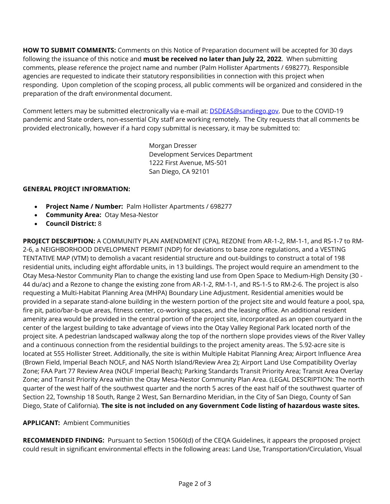**HOW TO SUBMIT COMMENTS:** Comments on this Notice of Preparation document will be accepted for 30 days following the issuance of this notice and **must be received no later than July 22, 2022**. When submitting comments, please reference the project name and number (Palm Hollister Apartments / 698277). Responsible agencies are requested to indicate their statutory responsibilities in connection with this project when responding. Upon completion of the scoping process, all public comments will be organized and considered in the preparation of the draft environmental document.

Comment letters may be submitted electronically via e-mail at: **DSDEAS@sandiego.gov.** Due to the COVID-19 pandemic and State orders, non-essential City staff are working remotely. The City requests that all comments be provided electronically, however if a hard copy submittal is necessary, it may be submitted to:

> Morgan Dresser Development Services Department 1222 First Avenue, MS-501 San Diego, CA 92101

#### **GENERAL PROJECT INFORMATION:**

- **Project Name / Number:** Palm Hollister Apartments / 698277
- **Community Area:** Otay Mesa-Nestor
- **Council District:** 8

**PROJECT DESCRIPTION:** A COMMUNITY PLAN AMENDMENT (CPA), REZONE from AR-1-2, RM-1-1, and RS-1-7 to RM-2-6, a NEIGHBORHOOD DEVELOPMENT PERMIT (NDP) for deviations to base zone regulations, and a VESTING TENTATIVE MAP (VTM) to demolish a vacant residential structure and out-buildings to construct a total of 198 residential units, including eight affordable units, in 13 buildings. The project would require an amendment to the Otay Mesa-Nestor Community Plan to change the existing land use from Open Space to Medium-High Density (30 - 44 du/ac) and a Rezone to change the existing zone from AR-1-2, RM-1-1, and RS-1-5 to RM-2-6. The project is also requesting a Multi-Habitat Planning Area (MHPA) Boundary Line Adjustment. Residential amenities would be provided in a separate stand-alone building in the western portion of the project site and would feature a pool, spa, fire pit, patio/bar-b-que areas, fitness center, co-working spaces, and the leasing office. An additional resident amenity area would be provided in the central portion of the project site, incorporated as an open courtyard in the center of the largest building to take advantage of views into the Otay Valley Regional Park located north of the project site. A pedestrian landscaped walkway along the top of the northern slope provides views of the River Valley and a continuous connection from the residential buildings to the project amenity areas. The 5.92-acre site is located at 555 Hollister Street. Additionally, the site is within Multiple Habitat Planning Area; Airport Influence Area (Brown Field, Imperial Beach NOLF, and NAS North Island/Review Area 2); Airport Land Use Compatibility Overlay Zone; FAA Part 77 Review Area (NOLF Imperial Beach); Parking Standards Transit Priority Area; Transit Area Overlay Zone; and Transit Priority Area within the Otay Mesa-Nestor Community Plan Area. (LEGAL DESCRIPTION: The north quarter of the west half of the southwest quarter and the north 5 acres of the east half of the southwest quarter of Section 22, Township 18 South, Range 2 West, San Bernardino Meridian, in the City of San Diego, County of San Diego, State of California). **The site is not included on any Government Code listing of hazardous waste sites.**

#### **APPLICANT:** Ambient Communities

**RECOMMENDED FINDING:** Pursuant to Section 15060(d) of the CEQA Guidelines, it appears the proposed project could result in significant environmental effects in the following areas: Land Use, Transportation/Circulation, Visual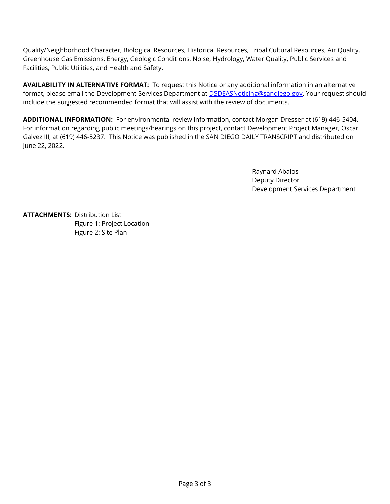Quality/Neighborhood Character, Biological Resources, Historical Resources, Tribal Cultural Resources, Air Quality, Greenhouse Gas Emissions, Energy, Geologic Conditions, Noise, Hydrology, Water Quality, Public Services and Facilities, Public Utilities, and Health and Safety.

**AVAILABILITY IN ALTERNATIVE FORMAT:** To request this Notice or any additional information in an alternative format, please email the Development Services Department at **DSDEASNoticing@sandiego.gov**. Your request should include the suggested recommended format that will assist with the review of documents.

**ADDITIONAL INFORMATION:** For environmental review information, contact Morgan Dresser at (619) 446-5404. For information regarding public meetings/hearings on this project, contact Development Project Manager, Oscar Galvez III, at (619) 446-5237. This Notice was published in the SAN DIEGO DAILY TRANSCRIPT and distributed on June 22, 2022.

> Raynard Abalos Deputy Director Development Services Department

**ATTACHMENTS:** Distribution List Figure 1: Project Location Figure 2: Site Plan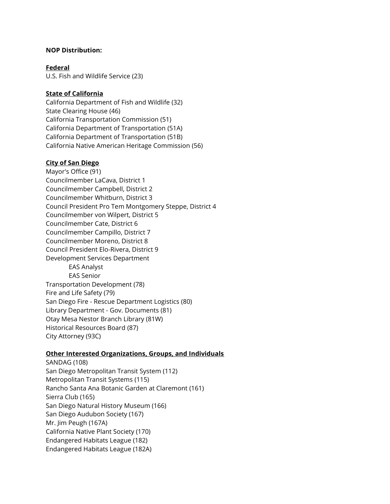#### **NOP Distribution:**

**Federal** U.S. Fish and Wildlife Service (23)

#### **State of California**

California Department of Fish and Wildlife (32) State Clearing House (46) California Transportation Commission (51) California Department of Transportation (51A) California Department of Transportation (51B) California Native American Heritage Commission (56)

#### **City of San Diego**

Mayor's Office (91) Councilmember LaCava, District 1 Councilmember Campbell, District 2 Councilmember Whitburn, District 3 Council President Pro Tem Montgomery Steppe, District 4 Councilmember von Wilpert, District 5 Councilmember Cate, District 6 Councilmember Campillo, District 7 Councilmember Moreno, District 8 Council President Elo-Rivera, District 9 Development Services Department EAS Analyst EAS Senior Transportation Development (78) Fire and Life Safety (79) San Diego Fire - Rescue Department Logistics (80) Library Department - Gov. Documents (81) Otay Mesa Nestor Branch Library (81W) Historical Resources Board (87) City Attorney (93C)

#### **Other Interested Organizations, Groups, and Individuals**

SANDAG (108) San Diego Metropolitan Transit System (112) Metropolitan Transit Systems (115) Rancho Santa Ana Botanic Garden at Claremont (161) Sierra Club (165) San Diego Natural History Museum (166) San Diego Audubon Society (167) Mr. Jim Peugh (167A) California Native Plant Society (170) Endangered Habitats League (182) Endangered Habitats League (182A)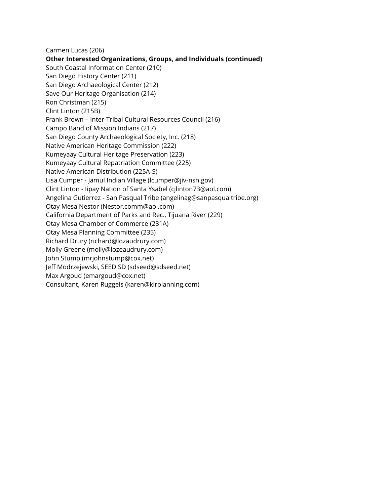Carmen Lucas (206)

**Other Interested Organizations, Groups, and Individuals (continued)** South Coastal Information Center (210) San Diego History Center (211) San Diego Archaeological Center (212) Save Our Heritage Organisation (214) Ron Christman (215) Clint Linton (215B) Frank Brown – Inter-Tribal Cultural Resources Council (216) Campo Band of Mission Indians (217) San Diego County Archaeological Society, Inc. (218) Native American Heritage Commission (222) Kumeyaay Cultural Heritage Preservation (223) Kumeyaay Cultural Repatriation Committee (225) Native American Distribution (225A-S) Lisa Cumper - Jamul Indian Village (lcumper@jiv-nsn.gov) Clint Linton - Iipay Nation of Santa Ysabel (cjlinton73@aol.com) Angelina Gutierrez - San Pasqual Tribe (angelinag@sanpasqualtribe.org) Otay Mesa Nestor (Nestor.comm@aol.com) California Department of Parks and Rec., Tijuana River (229) Otay Mesa Chamber of Commerce (231A) Otay Mesa Planning Committee (235) Richard Drury (richard@lozaudrury.com) Molly Greene (molly@lozeaudrury.com) John Stump (mrjohnstump@cox.net) Jeff Modrzejewski, SEED SD (sdseed@sdseed.net) Max Argoud (emargoud@cox.net) Consultant, Karen Ruggels (karen@klrplanning.com)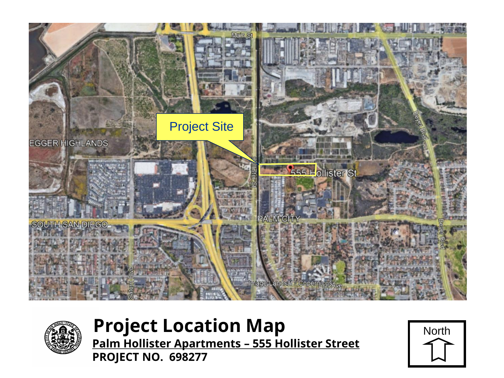



# **Project Location Map** North

**Palm Hollister Apartments – 555 Hollister Street PROJECT NO. 698277**